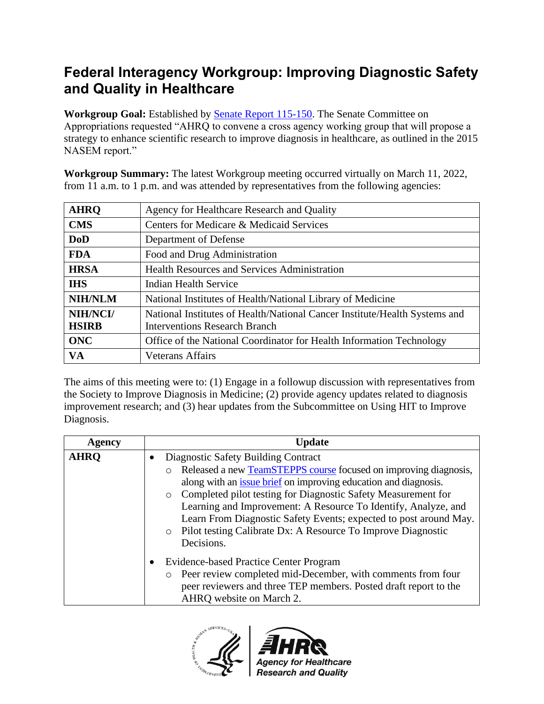## **Federal Interagency Workgroup: Improving Diagnostic Safety and Quality in Healthcare**

**Workgroup Goal:** Established by [Senate Report 115-150.](https://www.congress.gov/congressional-report/115th-congress/senate-report/150/1) The Senate Committee on Appropriations requested "AHRQ to convene a cross agency working group that will propose a strategy to enhance scientific research to improve diagnosis in healthcare, as outlined in the 2015 NASEM report."

**Workgroup Summary:** The latest Workgroup meeting occurred virtually on March 11, 2022, from 11 a.m. to 1 p.m. and was attended by representatives from the following agencies:

| <b>AHRQ</b>    | Agency for Healthcare Research and Quality                                 |
|----------------|----------------------------------------------------------------------------|
| <b>CMS</b>     | Centers for Medicare & Medicaid Services                                   |
| <b>DoD</b>     | Department of Defense                                                      |
| <b>FDA</b>     | Food and Drug Administration                                               |
| <b>HRSA</b>    | <b>Health Resources and Services Administration</b>                        |
| <b>IHS</b>     | <b>Indian Health Service</b>                                               |
| <b>NIH/NLM</b> | National Institutes of Health/National Library of Medicine                 |
| NIH/NCI/       | National Institutes of Health/National Cancer Institute/Health Systems and |
| <b>HSIRB</b>   | Interventions Research Branch                                              |
| <b>ONC</b>     | Office of the National Coordinator for Health Information Technology       |
| VA             | <b>Veterans Affairs</b>                                                    |

The aims of this meeting were to: (1) Engage in a followup discussion with representatives from the Society to Improve Diagnosis in Medicine; (2) provide agency updates related to diagnosis improvement research; and (3) hear updates from the Subcommittee on Using HIT to Improve Diagnosis.

| Agency      | <b>Update</b>                                                            |
|-------------|--------------------------------------------------------------------------|
| <b>AHRO</b> | Diagnostic Safety Building Contract                                      |
|             | Released a new TeamSTEPPS course focused on improving diagnosis,         |
|             | along with an issue brief on improving education and diagnosis.          |
|             | Completed pilot testing for Diagnostic Safety Measurement for<br>$\circ$ |
|             | Learning and Improvement: A Resource To Identify, Analyze, and           |
|             | Learn From Diagnostic Safety Events; expected to post around May.        |
|             | Pilot testing Calibrate Dx: A Resource To Improve Diagnostic<br>$\circ$  |
|             | Decisions.                                                               |
|             | Evidence-based Practice Center Program<br>$\bullet$                      |
|             | Peer review completed mid-December, with comments from four              |
|             | peer reviewers and three TEP members. Posted draft report to the         |
|             | AHRQ website on March 2.                                                 |